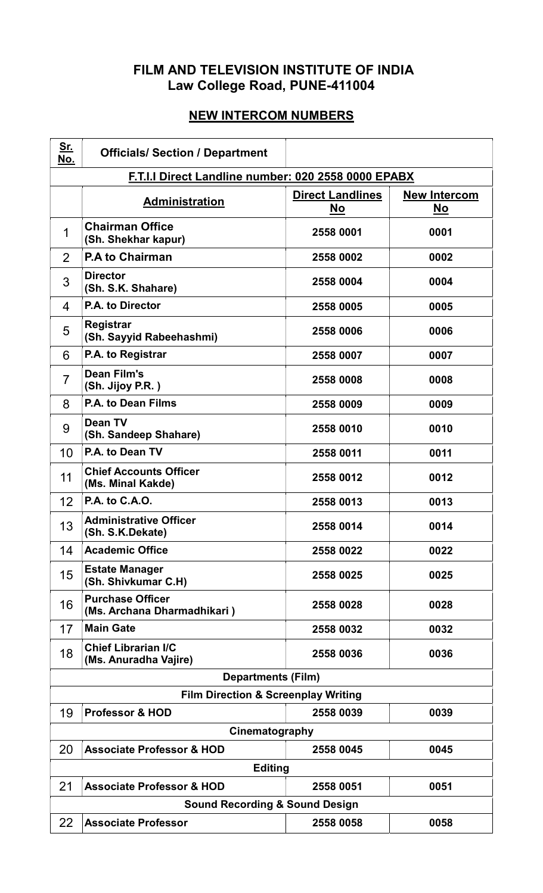## FILM AND TELEVISION INSTITUTE OF INDIA Law College Road, PUNE-411004

## NEW INTERCOM NUMBERS

| <u>Sr.</u><br>No.                                   | <b>Officials/ Section / Department</b>                 |                                      |                    |  |
|-----------------------------------------------------|--------------------------------------------------------|--------------------------------------|--------------------|--|
| F.T.I.I Direct Landline number: 020 2558 0000 EPABX |                                                        |                                      |                    |  |
|                                                     | <b>Administration</b>                                  | <b>Direct Landlines</b><br><u>No</u> | New Intercom<br>No |  |
| 1                                                   | <b>Chairman Office</b><br>(Sh. Shekhar kapur)          | 2558 0001                            | 0001               |  |
| 2                                                   | <b>P.A to Chairman</b>                                 | 2558 0002                            | 0002               |  |
| 3                                                   | <b>Director</b><br>(Sh. S.K. Shahare)                  | 2558 0004                            | 0004               |  |
| 4                                                   | P.A. to Director                                       | 2558 0005                            | 0005               |  |
| 5                                                   | Registrar<br>(Sh. Sayyid Rabeehashmi)                  | 2558 0006                            | 0006               |  |
| 6                                                   | P.A. to Registrar                                      | 2558 0007                            | 0007               |  |
| 7                                                   | <b>Dean Film's</b><br>(Sh. Jijoy P.R.)                 | 2558 0008                            | 0008               |  |
| 8                                                   | P.A. to Dean Films                                     | 2558 0009                            | 0009               |  |
| 9                                                   | <b>Dean TV</b><br>(Sh. Sandeep Shahare)                | 2558 0010                            | 0010               |  |
| 10                                                  | P.A. to Dean TV                                        | 2558 0011                            | 0011               |  |
| 11                                                  | <b>Chief Accounts Officer</b><br>(Ms. Minal Kakde)     | 2558 0012                            | 0012               |  |
| 12                                                  | P.A. to C.A.O.                                         | 2558 0013                            | 0013               |  |
| 13                                                  | <b>Administrative Officer</b><br>(Sh. S.K.Dekate)      | 2558 0014                            | 0014               |  |
| 14                                                  | <b>Academic Office</b>                                 | 2558 0022                            | 0022               |  |
| 15                                                  | <b>Estate Manager</b><br>(Sh. Shivkumar C.H)           | 2558 0025                            | 0025               |  |
| 16                                                  | <b>Purchase Officer</b><br>(Ms. Archana Dharmadhikari) | 2558 0028                            | 0028               |  |
| 17                                                  | <b>Main Gate</b>                                       | 2558 0032                            | 0032               |  |
| 18                                                  | <b>Chief Librarian I/C</b><br>(Ms. Anuradha Vajire)    | 2558 0036                            | 0036               |  |
| <b>Departments (Film)</b>                           |                                                        |                                      |                    |  |
|                                                     | <b>Film Direction &amp; Screenplay Writing</b>         |                                      |                    |  |
| 19                                                  | <b>Professor &amp; HOD</b>                             | 2558 0039                            | 0039               |  |
| Cinematography                                      |                                                        |                                      |                    |  |
| 20                                                  | <b>Associate Professor &amp; HOD</b>                   | 2558 0045                            | 0045               |  |
| 21                                                  | <b>Editing</b><br><b>Associate Professor &amp; HOD</b> | 2558 0051                            | 0051               |  |
| <b>Sound Recording &amp; Sound Design</b>           |                                                        |                                      |                    |  |
| 22                                                  | <b>Associate Professor</b>                             | 2558 0058                            | 0058               |  |